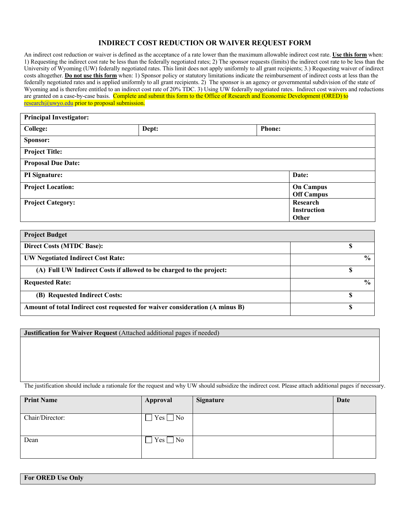## **INDIRECT COST REDUCTION OR WAIVER REQUEST FORM**

An indirect cost reduction or waiver is defined as the acceptance of a rate lower than the maximum allowable indirect cost rate. **Use this form** when: 1) Requesting the indirect cost rate be less than the federally negotiated rates; 2) The sponsor requests (limits) the indirect cost rate to be less than the University of Wyoming (UW) federally negotiated rates. This limit does not apply uniformly to all grant recipients; 3.) Requesting waiver of indirect costs altogether. **Do not use this form** when: 1) Sponsor policy or statutory limitations indicate the reimbursement of indirect costs at less than the federally negotiated rates and is applied uniformly to all grant recipients. 2) The sponsor is an agency or governmental subdivision of the state of Wyoming and is therefore entitled to an indirect cost rate of 20% TDC. 3) Using UW federally negotiated rates. Indirect cost waivers and reductions are granted on a case-by-case basis. Complete and submit this form to the Office of Research and Economic Development (ORED) to research@uwyo.edu prior to proposal submission.

| <b>Principal Investigator:</b> |       |                    |
|--------------------------------|-------|--------------------|
| <b>College:</b>                | Dept: | <b>Phone:</b>      |
| Sponsor:                       |       |                    |
| <b>Project Title:</b>          |       |                    |
| <b>Proposal Due Date:</b>      |       |                    |
| <b>PI</b> Signature:           |       | Date:              |
| <b>Project Location:</b>       |       | <b>On Campus</b>   |
|                                |       | <b>Off Campus</b>  |
| <b>Project Category:</b>       |       | Research           |
|                                |       | <b>Instruction</b> |
|                                |       | Other              |

| <b>Project Budget</b>                                                        |               |
|------------------------------------------------------------------------------|---------------|
| <b>Direct Costs (MTDC Base):</b>                                             |               |
| <b>UW Negotiated Indirect Cost Rate:</b>                                     | $\frac{0}{0}$ |
| (A) Full UW Indirect Costs if allowed to be charged to the project:          |               |
| <b>Requested Rate:</b>                                                       | $\frac{0}{0}$ |
| (B) Requested Indirect Costs:                                                |               |
| Amount of total Indirect cost requested for waiver consideration (A minus B) |               |

**Justification for Waiver Request** (Attached additional pages if needed)

The justification should include a rationale for the request and why UW should subsidize the indirect cost. Please attach additional pages if necessary.

| <b>Print Name</b> | Approval      | <b>Signature</b> | Date |
|-------------------|---------------|------------------|------|
|                   |               |                  |      |
| Chair/Director:   | $Yes \Box No$ |                  |      |
|                   |               |                  |      |
|                   |               |                  |      |
| Dean              | $Yes \Box No$ |                  |      |
|                   |               |                  |      |
|                   |               |                  |      |

| <b>For ORED Use Only</b> |
|--------------------------|
|--------------------------|